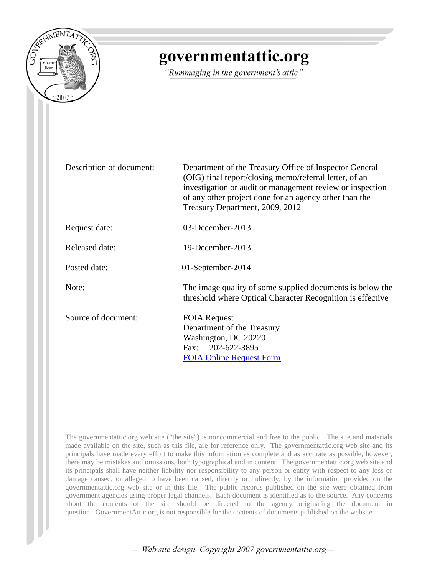

# governmentattic.org

"Rummaging in the government's attic"

| Description of document: | Department of the Treasury Office of Inspector General<br>(OIG) final report/closing memo/referral letter, of an<br>investigation or audit or management review or inspection<br>of any other project done for an agency other than the<br>Treasury Department, 2009, 2012 |
|--------------------------|----------------------------------------------------------------------------------------------------------------------------------------------------------------------------------------------------------------------------------------------------------------------------|
| Request date:            | 03-December-2013                                                                                                                                                                                                                                                           |
| Released date:           | 19-December-2013                                                                                                                                                                                                                                                           |
| Posted date:             | 01-September-2014                                                                                                                                                                                                                                                          |
| Note:                    | The image quality of some supplied documents is below the<br>threshold where Optical Character Recognition is effective                                                                                                                                                    |
| Source of document:      | <b>FOIA Request</b><br>Department of the Treasury<br>Washington, DC 20220<br>Fax: 202-622-3895<br><b>FOIA Online Request Form</b>                                                                                                                                          |

The governmentattic.org web site ("the site") is noncommercial and free to the public. The site and materials made available on the site, such as this file, are for reference only. The governmentattic.org web site and its principals have made every effort to make this information as complete and as accurate as possible, however, there may be mistakes and omissions, both typographical and in content. The governmentattic.org web site and its principals shall have neither liability nor responsibility to any person or entity with respect to any loss or damage caused, or alleged to have been caused, directly or indirectly, by the information provided on the governmentattic.org web site or in this file. The public records published on the site were obtained from government agencies using proper legal channels. Each document is identified as to the source. Any concerns about the contents of the site should be directed to the agency originating the document in question. GovernmentAttic.org is not responsible for the contents of documents published on the website.

-- Web site design Copyright 2007 governmentattic.org --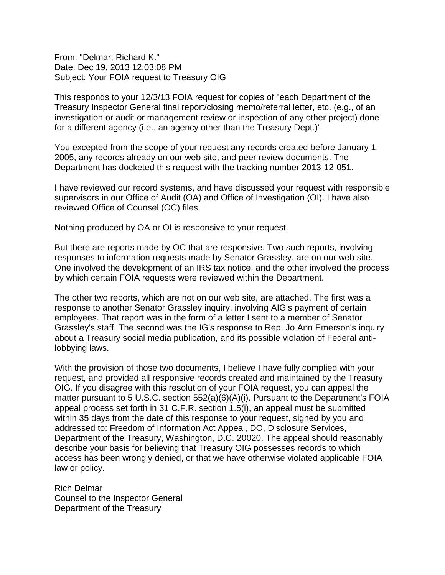From: "Delmar, Richard K." Date: Dec 19, 2013 12:03:08 PM Subject: Your FOIA request to Treasury OIG

This responds to your 12/3/13 FOIA request for copies of "each Department of the Treasury Inspector General final report/closing memo/referral letter, etc. (e.g., of an investigation or audit or management review or inspection of any other project) done for a different agency (i.e., an agency other than the Treasury Dept.)"

You excepted from the scope of your request any records created before January 1, 2005, any records already on our web site, and peer review documents. The Department has docketed this request with the tracking number 2013-12-051.

I have reviewed our record systems, and have discussed your request with responsible supervisors in our Office of Audit (OA) and Office of Investigation (OI). I have also reviewed Office of Counsel (OC) files.

Nothing produced by OA or OI is responsive to your request.

But there are reports made by OC that are responsive. Two such reports, involving responses to information requests made by Senator Grassley, are on our web site. One involved the development of an IRS tax notice, and the other involved the process by which certain FOIA requests were reviewed within the Department.

The other two reports, which are not on our web site, are attached. The first was a response to another Senator Grassley inquiry, involving AIG's payment of certain employees. That report was in the form of a letter I sent to a member of Senator Grassley's staff. The second was the IG's response to Rep. Jo Ann Emerson's inquiry about a Treasury social media publication, and its possible violation of Federal antilobbying laws.

With the provision of those two documents, I believe I have fully complied with your request, and provided all responsive records created and maintained by the Treasury OIG. If you disagree with this resolution of your FOIA request, you can appeal the matter pursuant to 5 U.S.C. section 552(a)(6)(A)(i). Pursuant to the Department's FOIA appeal process set forth in 31 C.F.R. section 1.5(i), an appeal must be submitted within 35 days from the date of this response to your request, signed by you and addressed to: Freedom of Information Act Appeal, DO, Disclosure Services, Department of the Treasury, Washington, D.C. 20020. The appeal should reasonably describe your basis for believing that Treasury OIG possesses records to which access has been wrongly denied, or that we have otherwise violated applicable FOIA law or policy.

Rich Delmar Counsel to the Inspector General Department of the Treasury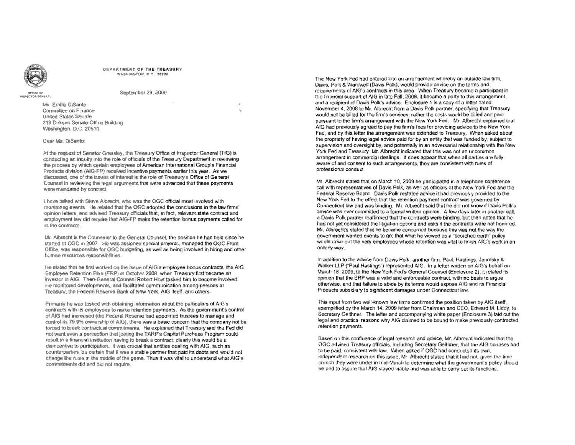

**DEPARTMENT OF THE TREASURY** WASHINGTON, D.C. 20220

September 29, 2009

Ms. Emilia DiSanto

Committee on Finance United States Senate 219 Dirksen Senate Office Building. Washington, D.C. 20510

Dear Ms. DiSanto:

At the request of Senator Grassley, the Treasury Office of Inspector General (TIG) is conducting an inquiry into the role of officials of the Treasury Department in reviewing the process by which certain employees of American International Group's Financial Products division (AIG-FP) received incentive payments earlier this year. As we discussed, one of the issues of interest is the role of Treasury's Office of General Counsel in reviewing the legal arguments that were advanced that these payments were mandated by contract.

I have talked with Steve Albrecht, who was the OGC official most involved with monitoring events. He related that the OGC adopted the conclusions in the law firms' opinion letters, and advised Treasury officials that, in fact, relevant state contract and employment law did require that AIG-FP make the retention bonus payments called for in the contracts.

Mr. Albrecht is the Counselor to the General Counsel, the position he has held since he started at OGC in 2007. He was assigned special projects, managed the OGC Front Office, was responsible for OGC budgeting, as well as being involved in hiring and other human resources responsibilities.

He stated that he first worked on the issue of AIG's employee bonus contracts, the AIG Employee Retention Plan (ERP) in October 2008, when Treasury first became an investor in AIG. Then-General Counsel Robert Hoyt tasked him to become involved. He monitored developments, and facilitated communication among persons at Treasury, the Federal Reserve Bank of New York, AIG itself, and others.

Primarily he was tasked with obtaining information about the particulars of AIG's contracts with its employees to make retention payments. As the government's control of AIG had increased (the Federal Reserve had appointed trustees to manage and control its 79.9% ownership of AIG), there was a basic concern that the company not be forced to break contractual commitments. He explained that Treasury and the Fed did not want even a perception that joining the TARP's Capital Purchase Program could result in a financial institution having to break a contract; clearly this would be a disincentive to participation. It was crucial that entities dealing with AIG, such as counterparties, be certain that it was a stable partner that paid its debts and would not change the rules in the middle of the game. Thus it was vital to understand what AIG's commitments did and did not require.

The New York Fed had entered into an arrangement whereby an outside law firm, Davis, Polk & Wardwell (Davis Polk), would provide advice on the terms and requirements of AIG's contracts in this area. When Treasury became a participant in the financial support of AIG in late Fall, 2008, it became a party to this arrangement, and a recipient of Davis Polk's advice. Enclosure 1 is a copy of a letter dated November 4, 2008 to Mr. Albrecht from a Davis Polk partner, specifying that Treasury would not be billed for the firm's services; rather the costs would be billed and paid pursuant to the firm's arrangement with the New York Fed. Mr. Albrecht explained that AIG had previously agreed to pay the firm's fees for providing advice to the New York Fed, and by this letter the arrangement was extended to Treasury. When asked about the propriety of having legal advice paid for by an entity that was funded by, subject to supervision and oversight by, and potentially in an adversarial relationship with the New York Fed and Treasury, Mr. Albrecht indicated that this was not an uncommon arrangement in commercial dealings. It does appear that when all parties are fully aware of and consent to such arrangements, they are consistent with rules of professional conduct.

Mr. Albrecht stated that on March 10, 2009 he participated in a telephone conference call with representatives of Davis Polk, as well as officials of the New York Fed and the Federal Reserve Board. Davis Polk restated advice it had previously provided to the New York Fed to the effect that the retention payment contract was governed by Connecticut law and was binding. Mr. Albrecht said that he did not know if Davis Polk's advice was ever committed to a formal written opinion. A few days later in another call, a Davis Polk partner reaffirmed that the contracts were binding, but then noted that he had not yet considered the litigation options and risks if the contracts were not honored. Mr. Albrecht's stated that he became concerned because this was not the way the government wanted events to go; that what he viewed as a "scorched earth" policy would drive out the very employees whose retention was vital to finish AIG's work in an orderly way.

In addition to the advice from Davis Polk, another firm, Paul, Hastings, Janofsky & Walker LLP ("Paul Hastings") represented AIG. In a letter written on AIG's behalf on March 16, 2009, to the New York Fed's General Counsel (Enclosure 2), it related its opinion that the ERP was a valid and enforceable contract, with no basis to arque otherwise, and that failure to abide by its terms would expose AIG and its Financial Products subsidiary to significant damages under Connecticut law.

This input from two well-known law firms confirmed the position taken by AIG itself, exemplified by the March 14, 2009 letter from Chairman and CEO, Edward M. Liddy, to Secretary Geithner. The letter and accompanying white paper (Enclosure 3) laid out the legal and practical reasons why AIG claimed to be bound to make previously-contracted retention payments.

Based on this confluence of legal research and advice. Mr. Albrecht indicated that the OGC advised Treasury officials, including Secretary Geithner, that the AIG bonuses had to be paid, consistent with law. When asked if OGC had conducted its own. independent research on this issue. Mr. Albrecht stated that it had not, given the time crunch they were under in mid-March to determine what the government's policy should be and to assure that AIG stayed viable and was able to carry out its functions.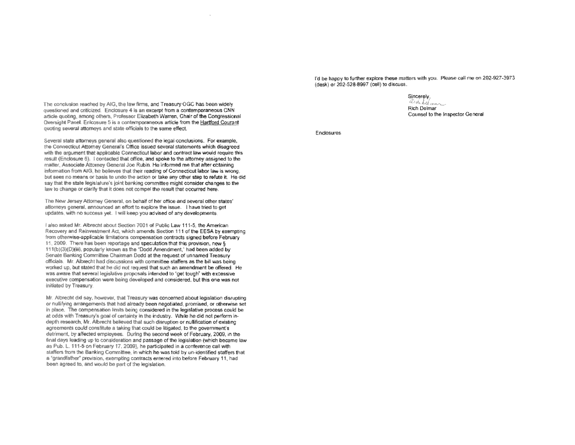The conclusion reached by AIG, the law firms, and Treasury OGC has been widely questioned and criticized. Enclosure 4 is an excerpt from a contemporaneous CNN article quoting, among others, Professor Elizabeth Warren, Chair of the Congressional Oversight Panet. Enlcosure 5 is a contemporaneous article from the Hartford Courant quoting several attorneys and state officials to the same effect.

Several state attorneys general also questioned the legal conclusions. For example, the Connecticut Attorney General's Office issued several statements which disagreed with the argument that applicable Connecticut labor and contract law would require this result (Enclosure 6). I contacted that office, and spoke to the attorney assigned to the matter, Associate Attorney General Joe Rubin. He informed me that after obtaining information from AIG, he believes that their reading of Connecticut labor law is wrong. but sees no means or basis to undo the action or take any other step to refute it. He did say that the state legislature's joint banking committee might consider changes to the law to change or clarify that it does not compel the result that occurred here.

The New Jersey Attorney General, on behalf of her office and several other states' attorneys general, announced an effort to explore the issue. I have tried to get updates, with no success yet. I will keep you advised of any developments.

I also asked Mr. Albrecht about Section 7001 of Public Law 111-5, the American Recovery and Reinvestment Act, which amends Section 111 of the EESA by exempting from otherwise-applicable limitations compensation contracts signed before February 11, 2009. There has been reportage and speculation that this provision, new § 111(b)(3)(D)(iii), popularly known as the "Dodd Amendment," had been added by Senate Banking Committee Chairman Dodd at the request of unnamed Treasury officials. Mr. Albrecht had discussions with committee staffers as the bill was being worked up, but stated that he did not request that such an amendment be offered. He was aware that several legislative proposals intended to "get tough" with excessive executive compensation were being developed and considered, but this one was not initiated by Treasury.

Mr. Albrecht did say, however, that Treasury was concerned about legislation disrupting or nullifying arrangements that had already been negotiated, promised, or otherwise set in place. The compensation limits being considered in the legislative process could be at odds with Treasury's goal of certainty in the industry. While he did not perform indepth research. Mr. Albrecht believed that such disruption or nullification of existing agreements could constitute a taking that could be litigated, to the government's detriment, by affected employees. During the second week of February, 2009, in the final days leading up to consideration and passage of the legislation (which became law as Pub. L. 111-5 on February 17, 2009), he participated in a conference call with staffers from the Banking Committee, in which he was told by un-identified staffers that a "grandfather" provision, exempting contracts entered into before February 11, had been agreed to, and would be part of the legislation.

I'd be happy to further explore these matters with you. Please call me on 202-927-3973 (desk) or 202-528-8997 (cell) to discuss.

> Sincerely. Redebildman Rich Delmar Counsel to the Inspector General

Enclosures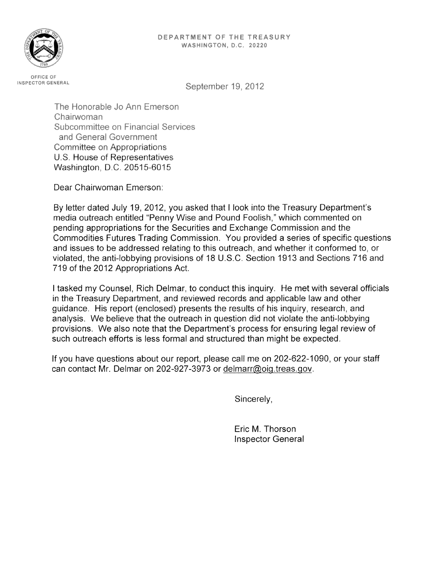

INSPECTOR GENERAL

September 19, 2012

The Honorable Jo Ann Emerson Chairwoman Subcommittee on Financial Services and General Government Committee on Appropriations U.S. House of Representatives Washington, D.C. 20515-6015

Dear Chairwoman Emerson.

By letter dated July 19, 2012, you asked that I look into the Treasury Department's media outreach entitled "Penny Wise and Pound Foolish," which commented on pending appropriations for the Securities and Exchange Commission and the Commodities Futures Trading Commission. You provided a series of specific questions and issues to be addressed relating to this outreach, and whether it conformed to, or violated, the anti-lobbying provisions of 18 U.S.C. Section 1913 and Sections 716 and 719 of the 2012 Appropriations Act.

I tasked my Counsel, Rich Delmar, to conduct this inquiry. He met with several officials in the Treasury Department, and reviewed records and applicable law and other guidance. His report (enclosed) presents the results of his inquiry, research, and analysis. We believe that the outreach in question did not violate the anti-lobbying provisions. We also note that the Department's process for ensuring legal review of such outreach efforts is less formal and structured than might be expected.

If you have questions about our report, please call me on 202-622-1090, or your staff can contact Mr. Delmar on 202-927-3973 or delmarr@oig.treas.gov.

Sincerely,

Eric M. Thorson Inspector General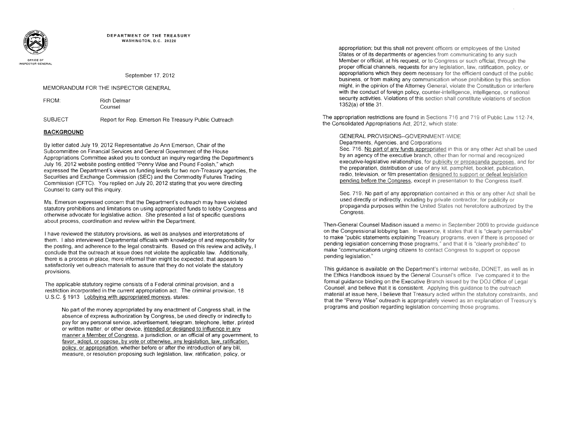

INSPECTOR GENERAL

#### September 17, 2012

## MEMORANDUM FOR THE INSPECTOR GENERAL

| FROM: | <b>Rich Delmar</b> |
|-------|--------------------|
|       | Counsel            |

SUBJECT Report for Rep. Emerson Re Treasury Public Outreach

## **BACKGROUND**

By letter dated July 19, 2012 Representative Jo Ann Emerson, Chair of the Subcommittee on Financial Services and General Government of the House Appropriations Committee asked you to conduct an inquiry regarding the Department's July 16, 2012 website posting entitled "Penny Wise and Pound Foolish," which expressed the Department's views on funding levels for two non-Treasury agencies, the Securities and Exchange Commission {SEC) and the Commodity Futures Trading Commission (CFTC}. You replied on July 20, 2012 stating that you were directing Counsel to carry out this inquiry.

Ms. Emerson expressed concern that the Department's outreach may have violated statutory prohibitions and limitations on using appropriated funds to lobby Congress and otherwise advocate for legislative action. She presented a list of specific questions about process, coordination and review within the Department.

I have reviewed the statutory provisions, as well as analyses and interpretations of them. I also interviewed Departmental officials with knowledge of and responsibility for the posting, and adherence to the legal constraints. Based on this review and activity, I conclude that the outreach at issue does not violate the applicable law. Additionally, there is a process in place, more informal than might be expected, that appears to satisfactorily vet outreach materials to assure that they do not violate the statutory provisions.

The applicable statutory regime consists of a Federal criminal provision, and a restriction incorporated in the current appropriation act. The criminal provision, 18 U.S.C. § 1913 Lobbying with appropriated moneys, states:

No part of the money appropriated by any enactment of Congress shall, in the absence of express authorization by Congress, be used directly or indirectly to pay for any personal service, advertisement, telegram, telephone, letter, printed or written matter, or other device, intended or designed to influence in any manner a Member of Congress, a jurisdiction, or an official of any government, to favor, adopt, or oppose, by vote or otherwise, any legislation, law, ratification, policy, or appropriation, whether before or after the introduction of any bill, measure, or resolution proposing such legislation, law, ratification, policy, or

appropriation; but this shall not prevent officers or employees of the United States or of its departments or agencies from communicating to any such Member or official, at his request, or to Congress or such official, through the proper official channels, requests for any legislation, law, ratification, policy, or appropriations which they deem necessary for the efficient conduct of the public business, or from making any communication whose prohibition by this section might, in the opinion of the Attorney General, violate the Constitution or interfere with the conduct of foreign policy, counter-intelligence, intelligence, or national security activities. Violations of this section shall constitute violations of section 1352(a) of title 31

The appropriation restrictions are found in Sections 716 and 719 of Public Law 112-74. the Consolidated Appropriations Act, 2012, which state:

GENERAL PROVISIONS-GOVERNMENT-WIDE Departments, Agencies, and Corporations

Sec. 716. No part of any funds appropriated in this or any other Act shall be used by an agency of the executive branch, other than for normal and recognized executive-legislative relationships, for publicity or propaganda purposes, and for the preparation, distribution or use of any kit, pamphlet, booklet, publication, radio, television, or film presentation designed to support or defeat legislation pending before the Congress, except in presentation to the Congress itself.

Sec. 719. No part of any appropriation contained in this or any other Act shall be used directly or indirectly, including by private contractor, for publicity or propaganda purposes within the United States not heretofore authorized by the Congress.

Then-General Counsel Madison issued a memo in September 2009 to provide quidance on the Congressional lobbying ban. In essence, it states that it is "clearly permissible" to make "public statements explaining Treasury programs, even if there is proposed or pending legislation concerning those programs," and that it is "clearly prohibited" to make "communications urging citizens to contact Congress to support or oppose pending legislation."

This guidance is available on the Department's internal website, DONET, as well as in the Ethics Handbook issued by the General Counsel's office. I've compared it to the formal guidance binding on the Executive Branch issued by the DOJ Office of Legal Counsel, and believe that it is consistent. Applying this quidance to the outreach material at issue here, I believe that Treasury acted within the statutory constraints, and that the "Penny Wise" outreach is appropriately viewed as an explanation of Treasury's programs and position regarding legislation concerning those programs.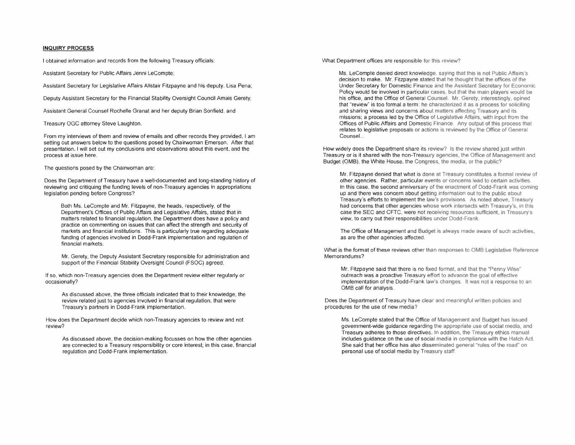# **INQUIRY PROCESS**

I obtained information and records from the following Treasury officials:

Assistant Secretary for Public Affairs Jenni Lecompte;

Assistant Secretary for Legislative Affairs Alistair Fitzpayne and his deputy, Lisa Pena;

Deputy Assistant Secretary for the Financial Stability Oversight Council Amais Gerety;

Assistant General Counsel Rochelle Granat and her deputy Brian Sonfield, and

Treasury OGC attorney Steve Laughton.

From my interviews of them and review of emails and other records they provided, I am setting out answers below to the questions posed by Chairwoman Emerson. After that presentation, I will set out my conclusions and observations about this event, and the process at issue here.

The questions posed by the Chairwoman are:

Does the Department of Treasury have a well-documented and long-standing history of reviewing and critiquing the funding levels of non-Treasury agencies in appropriations legislation pending before Congress?

Both Ms. LeCompte and Mr. Fitzpayne, the heads, respectively, of the Department's of Public Affairs and Legislative Affairs, stated that in matters related to financial regulation, the Department does have a policy and practice on commenting on issues that can affect the strength and security of markets and financial institutions. This is particularly true regarding adequate funding of agencies involved in Dodd-Frank implementation and regulation of financial markets.

Mr. Gerety, the Deputy Assistant Secretary responsible for administration and support of the Financial Stability Oversight Council (FSOC) agreed.

If so, which non-Treasury agencies does the Department review either regularly or occasionally?

As discussed above, the three officials indicated that to their knowledge, the review related just to agencies involved in financial regulation, that were Treasury's partners in Dodd-Frank implementation.

How does the Department decide which non-Treasury agencies to review and not review?

As discussed above, the decision-making focusses on how the other agencies are connected to a Treasury responsibility or core interest; in this case, financial regulation and Dodd-Frank implementation.

What Department offices are responsible for this review?

Ms. LeCompte denied direct knowledge, saying that this is not Public Affairs's decision to make. Mr. Fitzpayne stated that he thought that the offices of the Under Secretary for Domestic Finance and the Assistant Secretary for Economic Policy would be involved in particular cases, but that the main players would be his office, and the Office of General Counsel. Mr. Gerety, interestingly, opined that "review" is too formal a term: he characterized it as a process for soliciting and sharing views and concerns about matters affecting Treasury and its missions; a process led by the Office of Legislative Affairs, with input from the Offices of Public Affairs and Domestic Finance. Any output of this process that relates to legislative proposals or actions is reviewed by the Office of General Counsel..

How widely does the Department share its review? Is the review shared iust within Treasury or is it shared with the non-Treasury agencies, the Office of Management and Budget (OMB), the White House, the Congress, the media, or the public?

Mr. Fitzpayne denied that what is done at Treasury constitutes a formal review of other agencies. Rather, particular events or concerns lead to certain activities. In this case, the second anniversary of the enactment of Dodd-Frank was coming up and there was concern about getting information out to the public about Treasury's efforts to implement the law's provisions. As noted above, Treasury had concerns that other agencies whose work intersects with Treasury's, in this case the SEC and CFTC, were not receiving resources sufficient, in Treasury's view, to carry out their responsibilities under Dodd-Frank.

The Office of Management and Budget is always made aware of such activities, as are the other agencies affected.

What is the format of these reviews other than responses to OMB Legislative Reference Memorandums?

Mr. Fitzpayne said that there is no fixed format, and that the "Penny Wise" outreach was a proactive Treasury effort to advance the goal of effective implementation of the Dodd-Frank law's changes. It was not a response to an OMS call for analysis.

Does the Department of Treasury have clear and meaningful written policies and procedures for the use of new media?

Ms. LeCompte stated that the Office of Management and Budget has issued government-wide guidance regarding the appropriate use of social media, and Treasury adheres to those directives, in addition, the Treasury ethics manual includes guidance on the use of social media in compliance with the Hatch Act. She said that her office has also disseminated general "rules of the road" on personal use of social media by Treasury staff.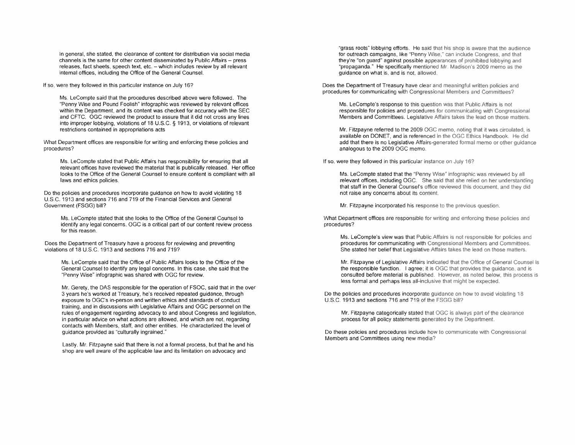In general, she stated, the clearance of content for distribution via social media channels is the same for other content disseminated by Public Affairs - press releases, fact sheets, speech text, etc. - which includes review by all relevant internal offices, including the Office of the General Counsel.

If so, were they followed in this particular instance on July 16?

Ms. Lecompte said that the procedures described above were followed. The "Penny Wise and Pound Foolish" infographic was reviewed by relevant offices within the Department, and its content was checked for accuracy with the SEC and CFTC. OGC reviewed the product to assure that it did not cross any lines into improper lobbying, violations of 18 U.S.C. § 1913, or violations of relevant restrictions contained in appropriations acts

What Department offices are responsible for writing and enforcing these policies and procedures?

Ms. Lecompte stated that Public Affairs has responsibility for ensuring that all relevant offices have reviewed the material that is publically released. Her office looks to the Office of the General Counsel to ensure content is compliant with all laws and ethics policies.

Do the policies and procedures incorporate guidance on how to avoid violating 18 U.S.C. 1913 and sections 716 and 719 of the Financial Services and General Government (FSGG) bill?

Ms. Lecompte stated that she looks to the Office of the General Counsel to identify any legal concerns. OGC is a critical part of our content review process for this reason.

Does the Department of Treasury have a process for reviewing and preventing violations of 18 U.S.C. 1913 and sections 716 and 719?

Ms. LeCompte said that the Office of Public Affairs looks to the Office of the General Counsel to identify any legal concerns. In this case, she said that the "Penny Wise" infographic was shared with OGC for review.

Mr. Gerety, the DAS responsible for the operation of FSOC, said that in the over 3 years he's worked at Treasury, he's received repeated guidance, through exposure to OGC's in-person and written ethics and standards of conduct training, and in discussions with legislative Affairs and OGC personnel on the rules of engagement regarding advocacy to and about Congress and legislation, in particular advice on what actions are allowed, and which are not, regarding contacts with Members, staff, and other entities. He characterized the level of guidance provided as "culturally ingrained."

Lastly, Mr. Fitzpayne said that there is not a formal process, but that he and his shop are well aware of the applicable law and its limitation on advocacy and

"grass roots" lobbying efforts. He said that his shop is aware that the audience for outreach campaigns, like "Penny Wise," can include Congress, and that they're "on guard" against possible appearances of prohibited lobbying and "propaganda." He specifically mentioned Mr. Madison's 2009 memo as the guidance on what is, and is not, allowed.

Does the Department of Treasury have clear and meaningful written policies and procedures for communicating with Congressional Members and Committees?

Ms. LeCompte's response to this question was that Public Affairs is not responsible for policies and procedures for communicating with Congressional Members and Committees. Legislative Affairs takes the lead on those matters.

Mr. Fitzpayne referred to the 2009 OGC memo, noting that it was circulated, is available on DONET, and is referenced in the OGC Ethics Handbook. He did add that there is no Legislative Affairs-generated formal memo or other guidance analogous to the 2009 OGC memo.

If so, were they followed in this particular instance on July 16?

Ms. LeCompte stated that the "Penny Wise" infographic was reviewed by all relevant offices, including OGC. She said that she relied on her understanding that staff in the General Counsel's office reviewed this document, and they did not raise any concerns about its content.

Mr. Fitzpayne incorporated his response to the previous question.

What Department offices are responsible for writing and enforcing these policies and procedures?

Ms. LeCompte's view was that Public Affairs is not responsible for policies and procedures for communicating with Congressional Members and Committees. She stated her belief that Legislative Affairs takes the lead on those matters.

Mr. Fitzpayne of Legislative Affairs indicated that the Office of General Counsel is the responsible function. I agree; it is OGC that provides the quidance, and is consulted before material is published. However, as noted below, this process is less formal and perhaps less all-inclusive that might be expected.

Do the policies and procedures incorporate guidance on how to avoid violating 18 U.S.C. 1913 and sections 716 and 719 of the FSGG bill?

Mr. Fitzpayne categorically stated that OGC is always part of the clearance process for all policy statements generated by the Department.

Do these policies and procedures include how to communicate with Congressional Members and Committees using new media?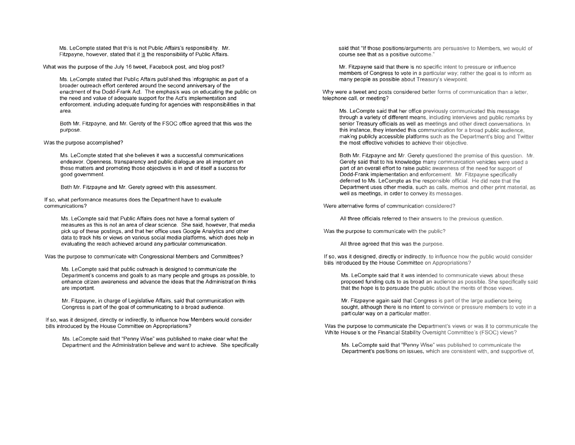Ms. Lecompte stated that this is not Public Affairs's responsibility. Mr. Fitzpayne, however, stated that it is the responsibility of Public Affairs.

What was the purpose of the July 16 tweet, Facebook post, and blog post?

Ms. Lecompte stated that Public Affairs published this infographic as part of a broader outreach effort centered around the second anniversary of the enactment of the Dodd-Frank Act. The emphasis was on educating the public on the need and value of adequate support for the Act's implementation and enforcement, including adequate funding for agencies with responsibilities in that area.

Both Mr. Fitzpayne, and Mr. Gerety of the FSOC office agreed that this was the purpose.

Was the purpose accomplished?

Ms. LeCompte stated that she believes it was a successful communications endeavor. Openness, transparency and public dialogue are all important on these matters and promoting those objectives is in and of itself a success for good government.

Both Mr. Fitzpayne and Mr. Gerety agreed with this assessment.

If so, what performance measures does the Department have to evaluate communications?

Ms. Lecompte said that Public Affairs does not have a formal system of measures as this is not an area of clear science. She said, however, that media pick up of these postings, and that her office uses Google Analytics and other data to track hits or views on various social media platforms, which does help in evaluating the reach achieved around any particular communication.

Was the purpose to communicate with Congressional Members and Committees?

Ms. Lecompte said that public outreach is designed to communicate the Department's concerns and goals to as many people and groups as possible, to enhance citizen awareness and advance the ideas that the Administration thinks are important.

Mr. Fitzpayne, in charge of Legislative Affairs, said that communication with Congress is part of the goal of communicating to a broad audience.

If so, was it designed, directly or indirectly, to influence how Members would consider bills introduced by the House Committee on Appropriations?

Ms. Lecompte said that "Penny Wise" was published to make clear what the Department and the Administration believe and want to achieve. She specifically said that "If those positions/arguments are persuasive to Members, we would of course see that as a positive outcome."

Mr. Fitzpayne said that there is no specific intent to pressure or influence members of Congress to vote in a particular way; rather the goal is to inform as many people as possible about Treasury's viewpoint.

Why were a tweet and posts considered better forms of communication than a letter. telephone call, or meeting?

Ms. LeCompte said that her office previously communicated this message. through a variety of different means, including interviews and public remarks by senior Treasury officials as well as meetings and other direct conversations. In this instance, they intended this communication for a broad public audience. making publicly accessible platforms such as the Department's blog and Twitter the most effective vehicles to achieve their objective.

Both Mr. Fitzpayne and Mr. Gerety questioned the premise of this question. Mr. Gerety said that to his knowledge many communication vehicles were used a part of an overall effort to raise public awareness of the need for support of Dodd-Frank implementation and enforcement. Mr. Fitzpayne specifically deferred to Ms. LeCompte as the responsible official. He did note that the Department uses other media, such as calls, memos and other print material, as well as meetings, in order to convey its messages.

Were alternative forms of communication considered?

All three officials referred to their answers to the previous question.

Was the purpose to communicate with the public?

All three agreed that this was the purpose.

If so, was it designed, directly or indirectly, to influence how the public would consider bills introduced by the House Committee on Appropriations?

Ms. LeCompte said that it was intended to communicate views about these proposed funding cuts to as broad an audience as possible. She specifically said that the hope is to persuade the public about the merits of those views.

Mr. Fitzpayne again said that Congress is part of the large audience being sought, although there is no intent to convince or pressure members to vote in a particular way on a particular matter.

Was the purpose to communicate the Department's views or was it to communicate the White House's or the Financial Stability Oversight Committee's (FSOC) views?

Ms. LeCompte said that "Penny Wise" was published to communicate the Department's positions on issues, which are consistent with, and supportive of,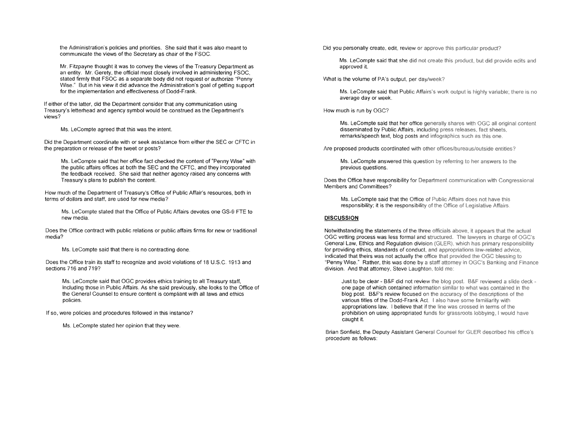the Administration's policies and priorities. She said that it was also meant to communicate the views of the Secretary as chair of the FSOC.

Mr. Fitzpayne thought it was to convey the views of the Treasury Department as an entity. Mr. Gerety, the official most closely involved in administering FSOC, stated firmly that FSOC as a separate body did not request or authorize "Penny Wise." But in his view it did advance the Administration's goal of getting support for the implementation and effectiveness of Dodd-Frank.

If either of the latter, did the Department consider that any communication using Treasury's letterhead and agency symbol would be construed as the Department's views?

Ms. Lecompte agreed that this was the intent.

Did the Department coordinate with or seek assistance from either the SEC or CFTC in the preparation or release of the tweet or posts?

Ms. Lecompte said that her office fact checked the content of "Penny Wise" with the public affairs offices at both the SEC and the CFTC, and they incorporated the feedback received. She said that neither agency raised any concerns with Treasury's plans to publish the content.

How much of the Department of Treasury's Office of Public Affair's resources, both in terms of dollars and staff, are used for new media?

Ms. Lecompte staled that the Office of Public Affairs devotes one GS-9 FTE to new media.

Does the Office contract with public relations or public affairs firms for new or traditional media?

Ms. Lecompte said that there is no contracting done.

Does the Office train its staff to recognize and avoid violations of 18 U.S.C. 1913 and sections 716 and 719?

Ms. Lecompte said that OGC provides ethics training to all Treasury staff, including those in Public Affairs. As she said previously, she looks to the Office of the General Counsel to ensure content is compliant with all laws and ethics policies.

If so, were policies and procedures followed in this instance?

Ms. Lecompte stated her opinion that they were.

Did you personally create, edit, review or approve this particular product?

Ms. LeCompte said that she did not create this product, but did provide edits and approved it

What is the volume of PA's output, per dav/week?

Ms. LeCompte said that Public Affairs's work output is highly variable; there is no average day or week.

How much is run by OGC?

Ms. LeCompte said that her office generally shares with OGC all original content disseminated by Public Affairs, including press releases, fact sheets, remarks/speech text, blog posts and infographics such as this one.

Are proposed products coordinated with other offices/bureaus/outside entities?

Ms. LeCompte answered this question by referring to her answers to the previous questions.

Does the Office have responsibility for Department communication with Congressional Members and Committees?

Ms. LeCompte said that the Office of Public Affairs does not have this responsibility; it is the responsibility of the Office of Legislative Affairs.

#### **DISCUSSION**

Notwithstanding the statements of the three officials above, it appears that the actual OGC vetting process was less formal and structured. The lawyers in charge of OGC's General Law, Ethics and Regulation division (GLER), which has primary responsibility for providing ethics, standards of conduct, and appropriations law-related advice, indicated that theirs was not actually the office that provided the OGC blessing to "Penny Wise." Rather, this was done by a staff attorney in OGC's Banking and Finance division. And that attorney, Steve Laughton, told me:

Just to be clear - B&F did not review the blog post. B&F reviewed a slide deck one page of which contained information similar to what was contained in the blog post. B&F's review focused on the accuracy of the descriptions of the various titles of the Dodd-Frank Act. I also have some familiarity with appropriations law. I believe that if the line was crossed in terms of the prohibition on using appropriated funds for grassroots lobbying, I would have caught it

Brian Sonfield, the Deputy Assistant General Counsel for GLER described his office's procedure as follows: